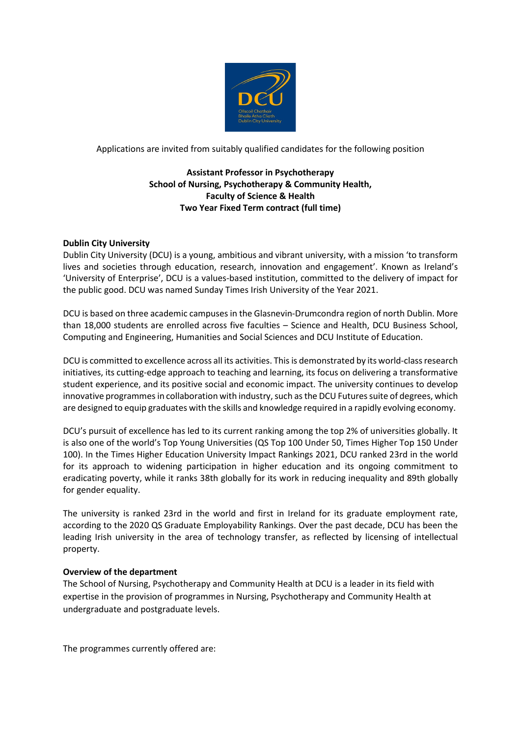

Applications are invited from suitably qualified candidates for the following position

# **Assistant Professor in Psychotherapy School of Nursing, Psychotherapy & Community Health, Faculty of Science & Health Two Year Fixed Term contract (full time)**

## **Dublin City University**

Dublin City University (DCU) is a young, ambitious and vibrant university, with a mission 'to transform lives and societies through education, research, innovation and engagement'. Known as Ireland's 'University of Enterprise', DCU is a values-based institution, committed to the delivery of impact for the public good. DCU was named Sunday Times Irish University of the Year 2021.

DCU is based on three academic campuses in the Glasnevin-Drumcondra region of north Dublin. More than 18,000 students are enrolled across five faculties – Science and Health, DCU Business School, Computing and Engineering, Humanities and Social Sciences and DCU Institute of Education.

DCU is committed to excellence across all its activities. This is demonstrated by its world-class research initiatives, its cutting-edge approach to teaching and learning, its focus on delivering a transformative student experience, and its positive social and economic impact. The university continues to develop innovative programmes in collaboration with industry, such as the DCU Futures suite of degrees, which are designed to equip graduates with the skills and knowledge required in a rapidly evolving economy.

DCU's pursuit of excellence has led to its current ranking among the top 2% of universities globally. It is also one of the world's Top Young Universities (QS Top 100 Under 50, Times Higher Top 150 Under 100). In the Times Higher Education University Impact Rankings 2021, DCU ranked 23rd in the world for its approach to widening participation in higher education and its ongoing commitment to eradicating poverty, while it ranks 38th globally for its work in reducing inequality and 89th globally for gender equality.

The university is ranked 23rd in the world and first in Ireland for its graduate employment rate, according to the 2020 QS Graduate Employability Rankings. Over the past decade, DCU has been the leading Irish university in the area of technology transfer, as reflected by licensing of intellectual property.

#### **Overview of the department**

The School of Nursing, Psychotherapy and Community Health at DCU is a leader in its field with expertise in the provision of programmes in Nursing, Psychotherapy and Community Health at undergraduate and postgraduate levels.

The programmes currently offered are: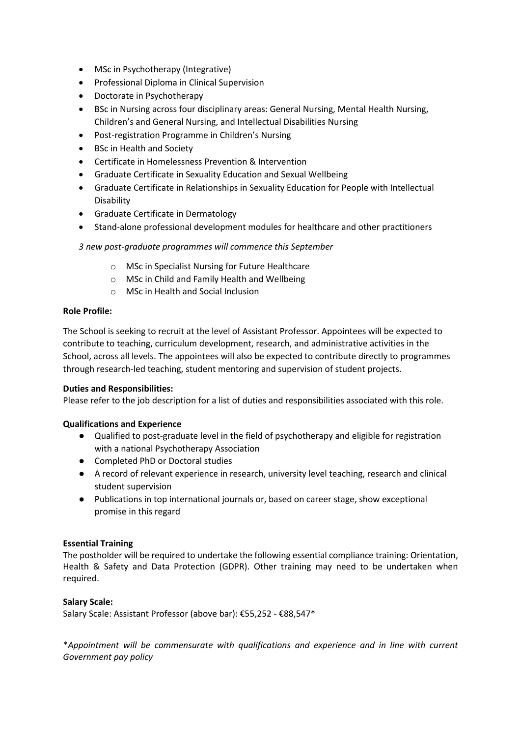- MSc in Psychotherapy (Integrative)
- Professional Diploma in Clinical Supervision
- Doctorate in Psychotherapy
- BSc in Nursing across four disciplinary areas: General Nursing, Mental Health Nursing, Children's and General Nursing, and Intellectual Disabilities Nursing
- Post-registration Programme in Children's Nursing
- BSc in Health and Society
- Certificate in Homelessness Prevention & Intervention
- Graduate Certificate in Sexuality Education and Sexual Wellbeing
- Graduate Certificate in Relationships in Sexuality Education for People with Intellectual Disability
- Graduate Certificate in Dermatology
- Stand-alone professional development modules for healthcare and other practitioners

# *3 new post-graduate programmes will commence this September*

- o MSc in Specialist Nursing for Future Healthcare
- o MSc in Child and Family Health and Wellbeing
- o MSc in Health and Social Inclusion

## **Role Profile:**

The School is seeking to recruit at the level of Assistant Professor. Appointees will be expected to contribute to teaching, curriculum development, research, and administrative activities in the School, across all levels. The appointees will also be expected to contribute directly to programmes through research-led teaching, student mentoring and supervision of student projects.

#### **Duties and Responsibilities:**

Please refer to the job description for a list of duties and responsibilities associated with this role.

# **Qualifications and Experience**

- Qualified to post-graduate level in the field of psychotherapy and eligible for registration with a national Psychotherapy Association
- Completed PhD or Doctoral studies
- A record of relevant experience in research, university level teaching, research and clinical student supervision
- Publications in top international journals or, based on career stage, show exceptional promise in this regard

# **Essential Training**

The postholder will be required to undertake the following essential compliance training: Orientation, Health & Safety and Data Protection (GDPR). Other training may need to be undertaken when required.

#### **Salary Scale:**

Salary Scale: Assistant Professor (above bar): €55,252 - €88,547\*

\**Appointment will be commensurate with qualifications and experience and in line with current Government pay policy*